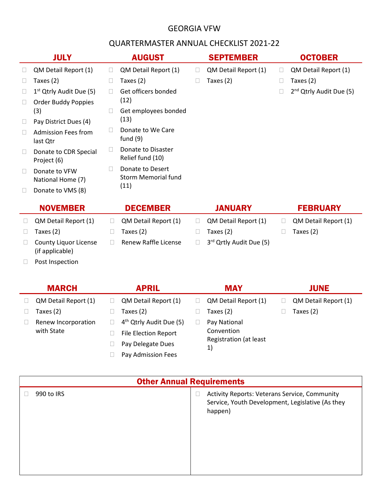## GEORGIA VFW

## QUARTERMASTER ANNUAL CHECKLIST 2021-22

|        | <b>JULY</b>                            |                   | <b>AUGUST</b>                           |        | <b>SEPTEMBER</b>        |              | <b>OCTOBER</b>                      |
|--------|----------------------------------------|-------------------|-----------------------------------------|--------|-------------------------|--------------|-------------------------------------|
| $\Box$ | QM Detail Report (1)                   | $\Box$            | QM Detail Report (1)                    | $\Box$ | QM Detail Report (1)    | $\mathbf{L}$ | QM Detail Report (1)                |
| $\Box$ | Taxes (2)                              | $\Box$            | Taxes $(2)$                             |        | Taxes (2)               |              | Taxes $(2)$                         |
| $\Box$ | $1st$ Qtrly Audit Due (5)              | $\Box$            | Get officers bonded                     |        |                         |              | 2 <sup>nd</sup> Qtrly Audit Due (5) |
| $\Box$ | <b>Order Buddy Poppies</b>             |                   | (12)                                    |        |                         |              |                                     |
|        | (3)                                    | $\mathbb{R}^n$    | Get employees bonded                    |        |                         |              |                                     |
| $\Box$ | Pay District Dues (4)                  |                   | (13)                                    |        |                         |              |                                     |
| $\Box$ | <b>Admission Fees from</b><br>last Qtr | $\mathbf{L}$      | Donate to We Care<br>fund $(9)$         |        |                         |              |                                     |
| $\Box$ | Donate to CDR Special<br>Project (6)   | $\vert \ \ \vert$ | Donate to Disaster<br>Relief fund (10)  |        |                         |              |                                     |
| $\Box$ | Donate to VFW<br>National Home (7)     |                   | Donate to Desert<br>Storm Memorial fund |        |                         |              |                                     |
| $\Box$ | Donate to VMS (8)                      |                   | (11)                                    |        |                         |              |                                     |
|        | <b>NOVEMBER</b>                        |                   | <b>DECEMBER</b>                         |        | <b>JANUARY</b>          |              | <b>FEBRUARY</b>                     |
| $\Box$ | QM Detail Report (1)                   | $\Box$            | QM Detail Report (1)                    | $\Box$ | QM Detail Report (1)    | □            | QM Detail Report (1)                |
| $\Box$ | Taxes (2)                              | $\Box$            | Taxes (2)                               | $\Box$ | Taxes $(2)$             |              | Taxes $(2)$                         |
|        | <b>County Liquor License</b>           |                   | Renew Raffle License                    |        | 3rd Qrtly Audit Due (5) |              |                                     |

(if applicable)

Post Inspection

|  | <b>MARCH</b>         | <b>APRIL</b>                        | <b>MAY</b>                   | <b>JUNE</b>          |
|--|----------------------|-------------------------------------|------------------------------|----------------------|
|  | QM Detail Report (1) | QM Detail Report (1)                | QM Detail Report (1)         | QM Detail Report (1) |
|  | Taxes (2)            | Taxes (2)                           | Taxes (2)                    | Taxes $(2)$          |
|  | Renew Incorporation  | 4 <sup>th</sup> Qtrly Audit Due (5) | Pay National                 |                      |
|  | with State           | <b>File Election Report</b>         | Convention                   |                      |
|  |                      | Pay Delegate Dues                   | Registration (at least<br>1) |                      |
|  |                      | Pay Admission Fees                  |                              |                      |

| <b>Other Annual Requirements</b> |                                                                                                              |  |  |  |
|----------------------------------|--------------------------------------------------------------------------------------------------------------|--|--|--|
| 990 to IRS                       | Activity Reports: Veterans Service, Community<br>Service, Youth Development, Legislative (As they<br>happen) |  |  |  |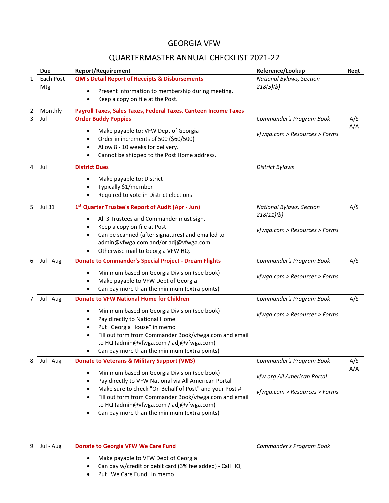## GEORGIA VFW

## QUARTERMASTER ANNUAL CHECKLIST 2021-22

|   | Due              | <b>Report/Requirement</b>                                                                                                                                                                                                                                                                       | Reference/Lookup                       | Reqt |
|---|------------------|-------------------------------------------------------------------------------------------------------------------------------------------------------------------------------------------------------------------------------------------------------------------------------------------------|----------------------------------------|------|
| 1 | Each Post<br>Mtg | <b>QM's Detail Report of Receipts &amp; Disbursements</b><br>Present information to membership during meeting.                                                                                                                                                                                  | National Bylaws, Section<br>218(5)(b)  |      |
|   |                  | Keep a copy on file at the Post.                                                                                                                                                                                                                                                                |                                        |      |
|   | Monthly          | Payroll Taxes, Sales Taxes, Federal Taxes, Canteen Income Taxes                                                                                                                                                                                                                                 |                                        |      |
| 3 | Jul              | <b>Order Buddy Poppies</b>                                                                                                                                                                                                                                                                      | Commander's Program Book               | A/S  |
|   |                  | Make payable to: VFW Dept of Georgia<br>$\bullet$<br>Order in increments of 500 (\$60/500)<br>$\bullet$<br>Allow 8 - 10 weeks for delivery.<br>$\bullet$<br>Cannot be shipped to the Post Home address.<br>$\bullet$                                                                            | vfwga.com > Resources > Forms          | A/A  |
| 4 | Jul              | <b>District Dues</b>                                                                                                                                                                                                                                                                            | <b>District Bylaws</b>                 |      |
|   |                  | Make payable to: District<br>$\bullet$<br>Typically \$1/member<br>٠<br>Required to vote in District elections<br>$\bullet$                                                                                                                                                                      |                                        |      |
| 5 | <b>Jul 31</b>    | 1 <sup>st</sup> Quarter Trustee's Report of Audit (Apr - Jun)<br>All 3 Trustees and Commander must sign.<br>$\bullet$                                                                                                                                                                           | National Bylaws, Section<br>218(11)(b) | A/S  |
|   |                  | Keep a copy on file at Post<br>$\bullet$<br>Can be scanned (after signatures) and emailed to<br>$\bullet$<br>admin@vfwga.com and/or adj@vfwga.com.<br>Otherwise mail to Georgia VFW HQ.                                                                                                         | vfwga.com > Resources > Forms          |      |
| 6 | Jul - Aug        | <b>Donate to Commander's Special Project - Dream Flights</b>                                                                                                                                                                                                                                    | Commander's Program Book               | A/S  |
|   |                  | Minimum based on Georgia Division (see book)<br>$\bullet$<br>Make payable to VFW Dept of Georgia<br>$\bullet$<br>Can pay more than the minimum (extra points)                                                                                                                                   | vfwga.com > Resources > Forms          |      |
| 7 | Jul - Aug        | <b>Donate to VFW National Home for Children</b>                                                                                                                                                                                                                                                 | Commander's Program Book               | A/S  |
|   |                  | Minimum based on Georgia Division (see book)<br>٠<br>Pay directly to National Home<br>$\bullet$<br>Put "Georgia House" in memo<br>$\bullet$<br>Fill out form from Commander Book/vfwga.com and email<br>to HQ (admin@vfwga.com / adj@vfwga.com)<br>Can pay more than the minimum (extra points) | vfwga.com > Resources > Forms          |      |
|   | Jul - Aug        | <b>Donate to Veterans &amp; Military Support (VMS)</b>                                                                                                                                                                                                                                          | Commander's Program Book               | A/S  |
|   |                  | Minimum based on Georgia Division (see book)<br>Pay directly to VFW National via All American Portal<br>$\bullet$                                                                                                                                                                               | vfw.org All American Portal            | A/A  |
|   |                  | Make sure to check "On Behalf of Post" and your Post #<br>$\bullet$<br>Fill out form from Commander Book/vfwga.com and email<br>$\bullet$<br>to HQ (admin@vfwga.com / adj@vfwga.com)<br>Can pay more than the minimum (extra points)                                                            | vfwga.com > Resources > Forms          |      |
|   | Jul - Aug        | <b>Donate to Georgia VFW We Care Fund</b>                                                                                                                                                                                                                                                       | Commander's Program Book               |      |

- Make payable to VFW Dept of Georgia
- Can pay w/credit or debit card (3% fee added) Call HQ
- Put "We Care Fund" in memo